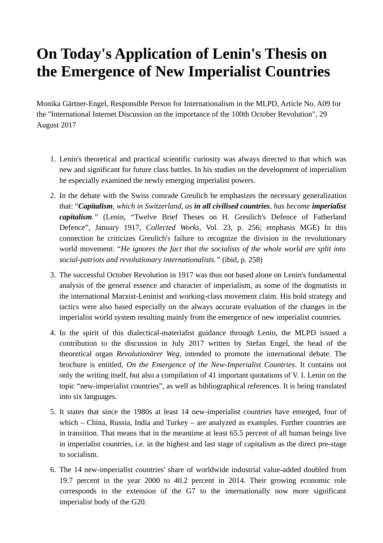## **On Today's Application of Lenin's Thesis on the Emergence of New Imperialist Countries**

Monika Gärtner-Engel, Responsible Person for Internationalism in the MLPD, Article No. A09 for the "International Internet Discussion on the importance of the 100th October Revolution", 29 August 2017

- 1. Lenin's theoretical and practical scientific curiosity was always directed to that which was new and significant for future class battles. In his studies on the development of imperialism he especially examined the newly emerging imperialist powers.
- 2. In the debate with the Swiss comrade Greulich he emphasizes the necessary generalization that: "*Capitalism, which in Switzerland, as in all civilised countries, has become imperialist capitalism."* (Lenin, "Twelve Brief Theses on H. Greulich's Defence of Fatherland Defence", January 1917, *Collected Works*, Vol. 23, p. 256; emphasis MGE) In this connection he criticizes Greulich's failure to recognize the division in the revolutionary world movement: "*He ignores the fact that the socialists of the whole world are split into social-patriots and revolutionary internationalists."* (ibid, p. 258)
- 3. The successful October Revolution in 1917 was thus not based alone on Lenin's fundamental analysis of the general essence and character of imperialism, as some of the dogmatists in the international Marxist-Leninist and working-class movement claim. His bold strategy and tactics were also based especially on the always accurate evaluation of the changes in the imperialist world system resulting mainly from the emergence of new imperialist countries.
- 4. In the spirit of this dialectical-materialist guidance through Lenin, the MLPD issued a contribution to the discussion in July 2017 written by Stefan Engel, the head of the theoretical organ *Revolutionärer Weg*, intended to promote the international debate. The brochure is entitled, *On the Emergence of the New-Imperialist Countries*. It contains not only the writing itself, but also a compilation of 41 important quotations of V. I. Lenin on the topic "new-imperialist countries", as well as bibliographical references. It is being translated into six languages.
- 5. It states that since the 1980s at least 14 new-imperialist countries have emerged, four of which – China, Russia, India and Turkey – are analyzed as examples. Further countries are in transition. That means that in the meantime at least 65.5 percent of all human beings live in imperialist countries, i.e. in the highest and last stage of capitalism as the direct pre-stage to socialism.
- 6. The 14 new-imperialist countries' share of worldwide industrial value-added doubled from 19.7 percent in the year 2000 to 40.2 percent in 2014. Their growing economic role corresponds to the extension of the G7 to the internationally now more significant imperialist body of the G20.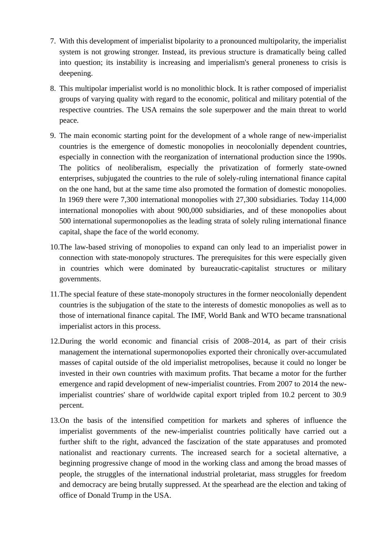- 7. With this development of imperialist bipolarity to a pronounced multipolarity, the imperialist system is not growing stronger. Instead, its previous structure is dramatically being called into question; its instability is increasing and imperialism's general proneness to crisis is deepening.
- 8. This multipolar imperialist world is no monolithic block. It is rather composed of imperialist groups of varying quality with regard to the economic, political and military potential of the respective countries. The USA remains the sole superpower and the main threat to world peace.
- 9. The main economic starting point for the development of a whole range of new-imperialist countries is the emergence of domestic monopolies in neocolonially dependent countries, especially in connection with the reorganization of international production since the 1990s. The politics of neoliberalism, especially the privatization of formerly state-owned enterprises, subjugated the countries to the rule of solely-ruling international finance capital on the one hand, but at the same time also promoted the formation of domestic monopolies. In 1969 there were 7,300 international monopolies with 27,300 subsidiaries. Today 114,000 international monopolies with about 900,000 subsidiaries, and of these monopolies about 500 international supermonopolies as the leading strata of solely ruling international finance capital, shape the face of the world economy.
- 10.The law-based striving of monopolies to expand can only lead to an imperialist power in connection with state-monopoly structures. The prerequisites for this were especially given in countries which were dominated by bureaucratic-capitalist structures or military governments.
- 11.The special feature of these state-monopoly structures in the former neocolonially dependent countries is the subjugation of the state to the interests of domestic monopolies as well as to those of international finance capital. The IMF, World Bank and WTO became transnational imperialist actors in this process.
- 12.During the world economic and financial crisis of 2008–2014, as part of their crisis management the international supermonopolies exported their chronically over-accumulated masses of capital outside of the old imperialist metropolises, because it could no longer be invested in their own countries with maximum profits. That became a motor for the further emergence and rapid development of new-imperialist countries. From 2007 to 2014 the newimperialist countries' share of worldwide capital export tripled from 10.2 percent to 30.9 percent.
- 13.On the basis of the intensified competition for markets and spheres of influence the imperialist governments of the new-imperialist countries politically have carried out a further shift to the right, advanced the fascization of the state apparatuses and promoted nationalist and reactionary currents. The increased search for a societal alternative, a beginning progressive change of mood in the working class and among the broad masses of people, the struggles of the international industrial proletariat, mass struggles for freedom and democracy are being brutally suppressed. At the spearhead are the election and taking of office of Donald Trump in the USA.